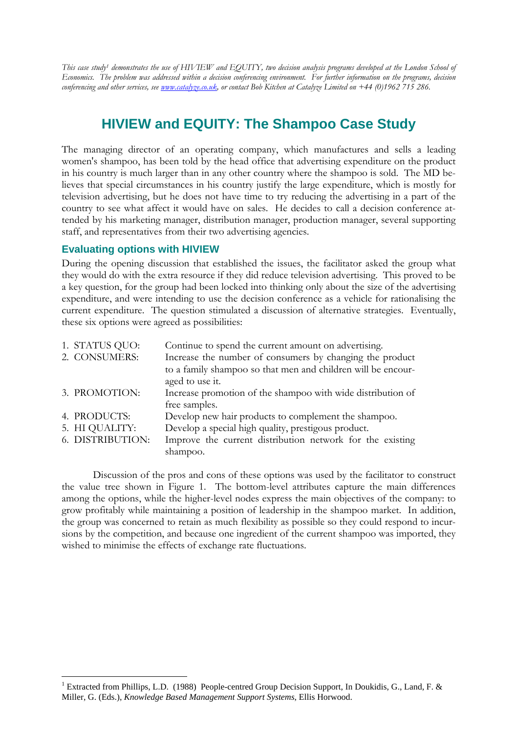*This case study1 demonstrates the use of HIVIEW and EQUITY, two decision analysis programs developed at the London School of Economics. The problem was addressed within a decision conferencing environment. For further information on the programs, decision conferencing and other services, see www.catalyze.co.uk, or contact Bob Kitchen at Catalyze Limited on +44 (0)1962 715 286.* 

## **HIVIEW and EQUITY: The Shampoo Case Study**

The managing director of an operating company, which manufactures and sells a leading women's shampoo, has been told by the head office that advertising expenditure on the product in his country is much larger than in any other country where the shampoo is sold. The MD believes that special circumstances in his country justify the large expenditure, which is mostly for television advertising, but he does not have time to try reducing the advertising in a part of the country to see what affect it would have on sales. He decides to call a decision conference attended by his marketing manager, distribution manager, production manager, several supporting staff, and representatives from their two advertising agencies.

## **Evaluating options with HIVIEW**

 $\overline{a}$ 

During the opening discussion that established the issues, the facilitator asked the group what they would do with the extra resource if they did reduce television advertising. This proved to be a key question, for the group had been locked into thinking only about the size of the advertising expenditure, and were intending to use the decision conference as a vehicle for rationalising the current expenditure. The question stimulated a discussion of alternative strategies. Eventually, these six options were agreed as possibilities:

| 1. STATUS QUO:   | Continue to spend the current amount on advertising.         |
|------------------|--------------------------------------------------------------|
| 2. CONSUMERS:    | Increase the number of consumers by changing the product     |
|                  | to a family shampoo so that men and children will be encour- |
|                  | aged to use it.                                              |
| 3. PROMOTION:    | Increase promotion of the shampoo with wide distribution of  |
|                  | free samples.                                                |
| 4. PRODUCTS:     | Develop new hair products to complement the shampoo.         |
| 5. HI QUALITY:   | Develop a special high quality, prestigous product.          |
| 6. DISTRIBUTION: | Improve the current distribution network for the existing    |
|                  | shampoo.                                                     |

 Discussion of the pros and cons of these options was used by the facilitator to construct the value tree shown in Figure 1. The bottom-level attributes capture the main differences among the options, while the higher-level nodes express the main objectives of the company: to grow profitably while maintaining a position of leadership in the shampoo market. In addition, the group was concerned to retain as much flexibility as possible so they could respond to incursions by the competition, and because one ingredient of the current shampoo was imported, they wished to minimise the effects of exchange rate fluctuations.

<sup>&</sup>lt;sup>1</sup> Extracted from Phillips, L.D. (1988) People-centred Group Decision Support, In Doukidis, G., Land, F. & Miller, G. (Eds.), *Knowledge Based Management Support Systems*, Ellis Horwood.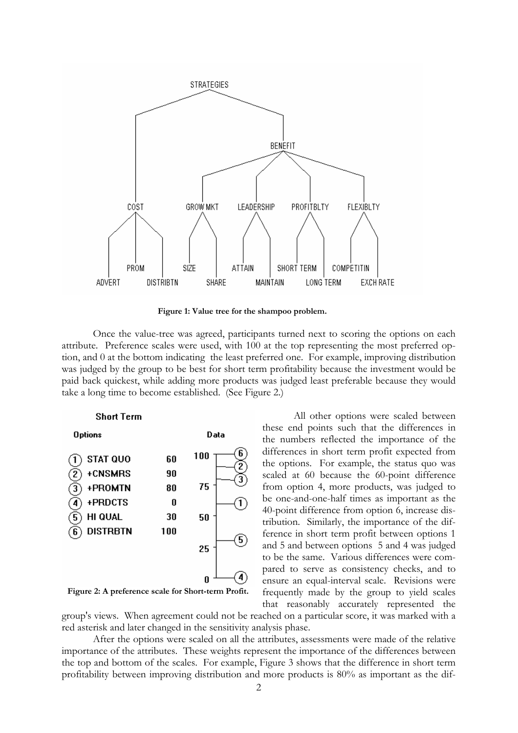

**Figure 1: Value tree for the shampoo problem.** 

 Once the value-tree was agreed, participants turned next to scoring the options on each attribute. Preference scales were used, with 100 at the top representing the most preferred option, and 0 at the bottom indicating the least preferred one. For example, improving distribution was judged by the group to be best for short term profitability because the investment would be paid back quickest, while adding more products was judged least preferable because they would take a long time to become established. (See Figure 2.)



**Figure 2: A preference scale for Short-term Profit.** 

 All other options were scaled between these end points such that the differences in the numbers reflected the importance of the differences in short term profit expected from the options. For example, the status quo was scaled at 60 because the 60-point difference from option 4, more products, was judged to be one-and-one-half times as important as the 40-point difference from option 6, increase distribution. Similarly, the importance of the difference in short term profit between options 1 and 5 and between options 5 and 4 was judged to be the same. Various differences were compared to serve as consistency checks, and to ensure an equal-interval scale. Revisions were frequently made by the group to yield scales that reasonably accurately represented the

group's views. When agreement could not be reached on a particular score, it was marked with a red asterisk and later changed in the sensitivity analysis phase.

After the options were scaled on all the attributes, assessments were made of the relative importance of the attributes. These weights represent the importance of the differences between the top and bottom of the scales. For example, Figure 3 shows that the difference in short term profitability between improving distribution and more products is 80% as important as the dif-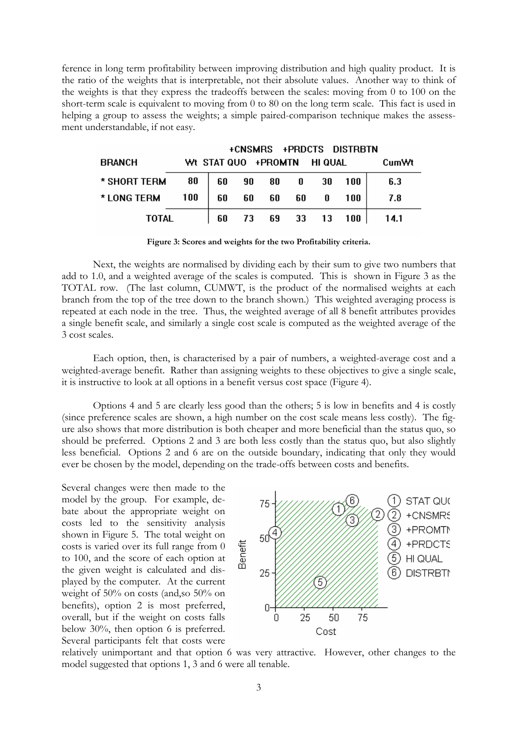ference in long term profitability between improving distribution and high quality product. It is the ratio of the weights that is interpretable, not their absolute values. Another way to think of the weights is that they express the tradeoffs between the scales: moving from 0 to 100 on the short-term scale is equivalent to moving from 0 to 80 on the long term scale. This fact is used in helping a group to assess the weights; a simple paired-comparison technique makes the assessment understandable, if not easy.

|               |     |                             |      |          | +CNSMRS +PRDCTS DISTRBTN |       |
|---------------|-----|-----------------------------|------|----------|--------------------------|-------|
| <b>BRANCH</b> |     | Wt STAT QUO +PROMTN HI QUAL |      |          |                          | CumWt |
| * SHORT TERM  | 80  | 60                          | 90 — | 80 0 30  | 100                      | 6.3   |
| * LONG TERM   | 100 | 60                          | 60 - | 60 60 0  | 100                      | 7.8   |
| <b>TOTAL</b>  |     | 60                          | 73.  | 69 33 13 | 100                      | 14.1  |

**Figure 3: Scores and weights for the two Profitability criteria.** 

 Next, the weights are normalised by dividing each by their sum to give two numbers that add to 1.0, and a weighted average of the scales is computed. This is shown in Figure 3 as the TOTAL row. (The last column, CUMWT, is the product of the normalised weights at each branch from the top of the tree down to the branch shown.) This weighted averaging process is repeated at each node in the tree. Thus, the weighted average of all 8 benefit attributes provides a single benefit scale, and similarly a single cost scale is computed as the weighted average of the 3 cost scales.

 Each option, then, is characterised by a pair of numbers, a weighted-average cost and a weighted-average benefit. Rather than assigning weights to these objectives to give a single scale, it is instructive to look at all options in a benefit versus cost space (Figure 4).

 Options 4 and 5 are clearly less good than the others; 5 is low in benefits and 4 is costly (since preference scales are shown, a high number on the cost scale means less costly). The figure also shows that more distribution is both cheaper and more beneficial than the status quo, so should be preferred. Options 2 and 3 are both less costly than the status quo, but also slightly less beneficial. Options 2 and 6 are on the outside boundary, indicating that only they would ever be chosen by the model, depending on the trade-offs between costs and benefits.

Several changes were then made to the model by the group. For example, debate about the appropriate weight on costs led to the sensitivity analysis shown in Figure 5. The total weight on costs is varied over its full range from 0 to 100, and the score of each option at the given weight is calculated and displayed by the computer. At the current weight of 50% on costs (and,so 50% on benefits), option 2 is most preferred, overall, but if the weight on costs falls below 30%, then option 6 is preferred. Several participants felt that costs were



relatively unimportant and that option 6 was very attractive. However, other changes to the model suggested that options 1, 3 and 6 were all tenable.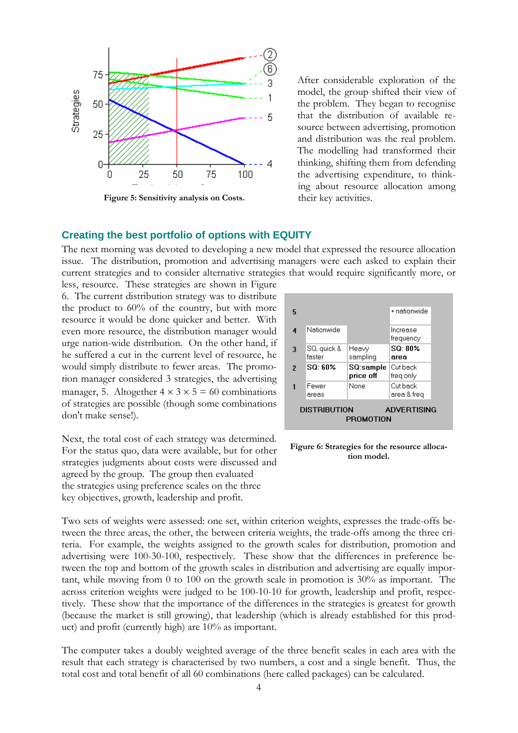

**Figure 5: Sensitivity analysis on Costs.** 

After considerable exploration of the model, the group shifted their view of the problem. They began to recognise that the distribution of available resource between advertising, promotion and distribution was the real problem. The modelling had transformed their thinking, shifting them from defending the advertising expenditure, to thinking about resource allocation among their key activities.

## **Creating the best portfolio of options with EQUITY**

The next morning was devoted to developing a new model that expressed the resource allocation issue. The distribution, promotion and advertising managers were each asked to explain their current strategies and to consider alternative strategies that would require significantly more, or

less, resource. These strategies are shown in Figure 6. The current distribution strategy was to distribute the product to 60% of the country, but with more resource it would be done quicker and better. With even more resource, the distribution manager would urge nation-wide distribution. On the other hand, if he suffered a cut in the current level of resource, he would simply distribute to fewer areas. The promotion manager considered 3 strategies, the advertising manager, 5. Altogether  $4 \times 3 \times 5 = 60$  combinations of strategies are possible (though some combinations don't make sense!).

Next, the total cost of each strategy was determined. For the status quo, data were available, but for other strategies judgments about costs were discussed and agreed by the group. The group then evaluated the strategies using preference scales on the three key objectives, growth, leadership and profit.

| 5              |                       |                        | + nationwide            |  |
|----------------|-----------------------|------------------------|-------------------------|--|
| 4              | Nationwide            |                        | Increase<br>frequency   |  |
| 3              | SQ, quick &<br>faster | Heaw<br>sampling       | SO 80%<br>area          |  |
| $\overline{2}$ | SQ: 60%               | SQ:sample<br>price off | Cut back<br>freg only   |  |
| 1              | Fewer<br>areas        | None                   | Cut back<br>area & freq |  |
|                | <b>DISTRIBUTION</b>   |                        | <b>ADVERTISING</b>      |  |
|                |                       | PROMOTION              |                         |  |

**Figure 6: Strategies for the resource allocation model.** 

Two sets of weights were assessed: one set, within criterion weights, expresses the trade-offs between the three areas, the other, the between criteria weights, the trade-offs among the three criteria. For example, the weights assigned to the growth scales for distribution, promotion and advertising were 100-30-100, respectively. These show that the differences in preference between the top and bottom of the growth scales in distribution and advertising are equally important, while moving from 0 to 100 on the growth scale in promotion is 30% as important. The across criterion weights were judged to be 100-10-10 for growth, leadership and profit, respectively. These show that the importance of the differences in the strategies is greatest for growth (because the market is still growing), that leadership (which is already established for this product) and profit (currently high) are 10% as important.

The computer takes a doubly weighted average of the three benefit scales in each area with the result that each strategy is characterised by two numbers, a cost and a single benefit. Thus, the total cost and total benefit of all 60 combinations (here called packages) can be calculated.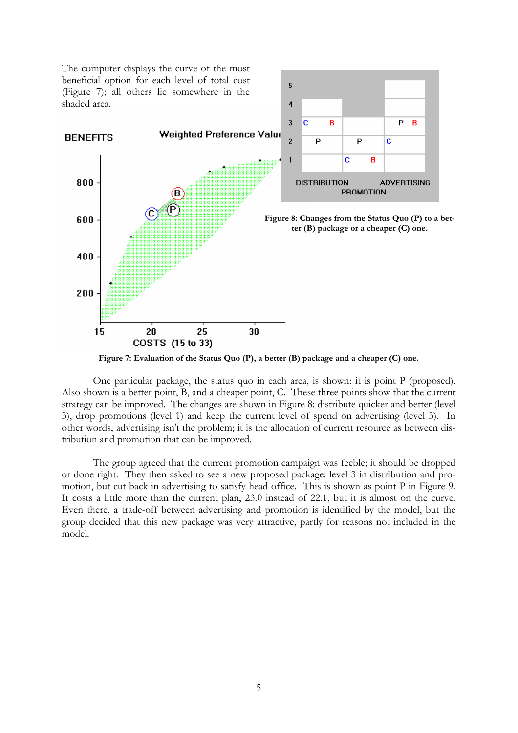

**Figure 7: Evaluation of the Status Quo (P), a better (B) package and a cheaper (C) one.** 

 One particular package, the status quo in each area, is shown: it is point P (proposed). Also shown is a better point, B, and a cheaper point, C. These three points show that the current strategy can be improved. The changes are shown in Figure 8: distribute quicker and better (level 3), drop promotions (level 1) and keep the current level of spend on advertising (level 3). In other words, advertising isn't the problem; it is the allocation of current resource as between distribution and promotion that can be improved.

 The group agreed that the current promotion campaign was feeble; it should be dropped or done right. They then asked to see a new proposed package: level 3 in distribution and promotion, but cut back in advertising to satisfy head office. This is shown as point P in Figure 9. It costs a little more than the current plan, 23.0 instead of 22.1, but it is almost on the curve. Even there, a trade-off between advertising and promotion is identified by the model, but the group decided that this new package was very attractive, partly for reasons not included in the model.